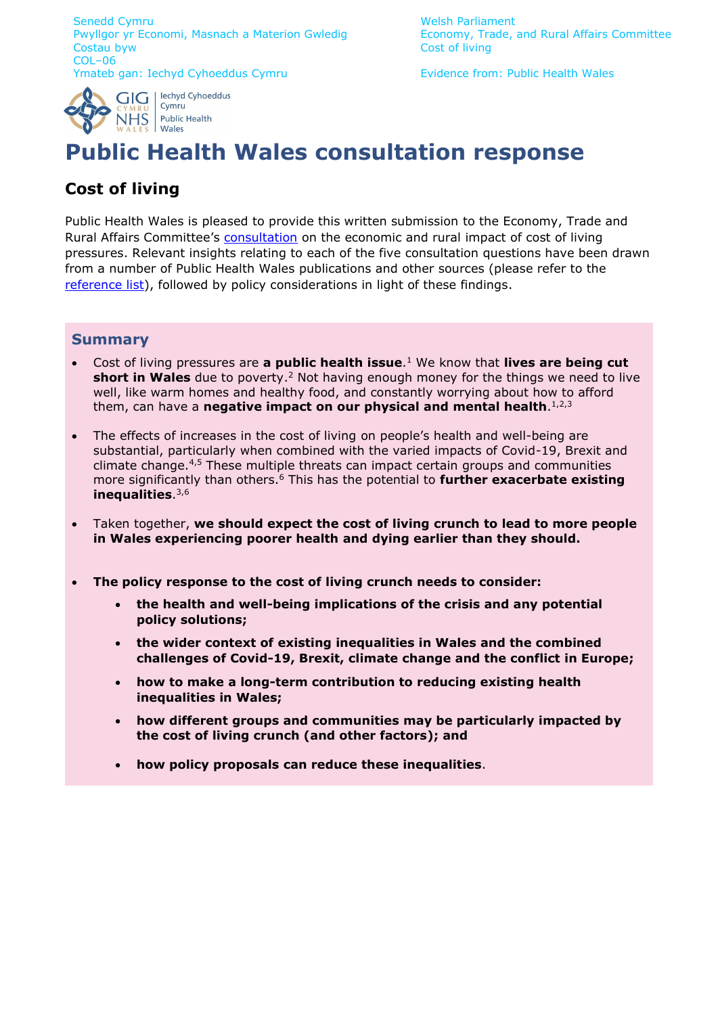Senedd Cymru North Welsh Parliament Pwyllgor yr Economi, Masnach a Materion Gwledig Economy, Trade, and Rural Affairs Committee<br>Costau byw COL–06 Ymateb gan: Iechyd Cyhoeddus Cymru **Evidence from: Public Health Wales** 

Cost of living

<span id="page-0-1"></span>



# **Public Health Wales consultation response**

# **Cost of living**

Public Health Wales is pleased to provide this written submission to the Economy, Trade and Rural Affairs Committee's [consultation](https://business.senedd.wales/mgConsultationDisplay.aspx?ID=459) on the economic and rural impact of cost of living pressures. Relevant insights relating to each of the five consultation questions have been drawn from a number of Public Health Wales publications and other sources (please refer to the [reference list\)](#page-6-0), followed by policy considerations in light of these findings.

### **Summary**

- <span id="page-0-3"></span>• Cost of living pressures are **a public health issue**. <sup>1</sup> We know that **lives are being cut short in Wales** due to poverty. <sup>2</sup> Not having enough money for the things we need to live well, like warm homes and healthy food, and constantly worrying about how to afford them, can have a **negative impact on our physical and mental health**.<sup>1,2,3</sup>
- <span id="page-0-4"></span><span id="page-0-2"></span>The effects of increases in the cost of living on people's health and well-being are substantial, particularly when combined with the varied impacts of Covid-19, Brexit and climate change.4,5 These multiple threats can impact certain groups and communities more significantly than others.<sup>6</sup> This has the potential to **further exacerbate existing inequalities**. 3[,6](#page-0-0)
- <span id="page-0-0"></span>• Taken together, **we should expect the cost of living crunch to lead to more people in Wales experiencing poorer health and dying earlier than they should.**
- **The policy response to the cost of living crunch needs to consider:**
	- **the health and well-being implications of the crisis and any potential policy solutions;**
	- **the wider context of existing inequalities in Wales and the combined challenges of Covid-19, Brexit, climate change and the conflict in Europe;**
	- **how to make a long-term contribution to reducing existing health inequalities in Wales;**
	- **how different groups and communities may be particularly impacted by the cost of living crunch (and other factors); and**
	- **how policy proposals can reduce these inequalities**.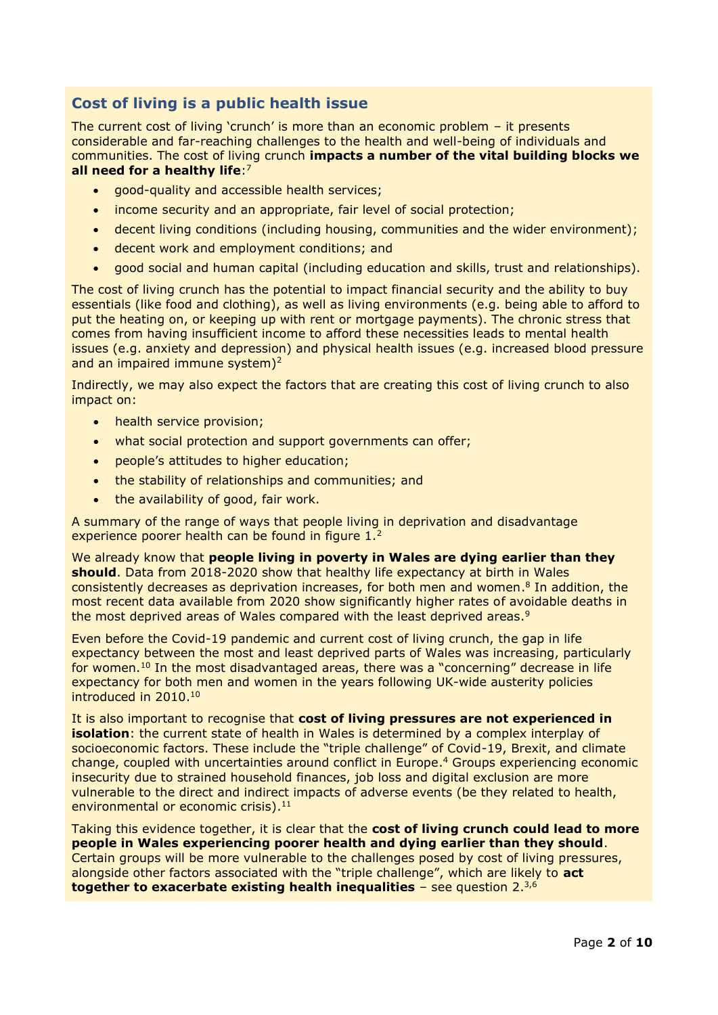## **Cost of living is a public health issue**

The current cost of living 'crunch' is more than an economic problem – it presents considerable and far-reaching challenges to the health and well-being of individuals and communities. The cost of living crunch **impacts a number of the vital building blocks we all need for a healthy life**: 7

- good-quality and accessible health services;
- income security and an appropriate, fair level of social protection;
- decent living conditions (including housing, communities and the wider environment);
- decent work and employment conditions; and
- good social and human capital (including education and skills, trust and relationships).

The cost of living crunch has the potential to impact financial security and the ability to buy essentials (like food and clothing), as well as living environments (e.g. being able to afford to put the heating on, or keeping up with rent or mortgage payments). The chronic stress that comes from having insufficient income to afford these necessities leads to mental health issues (e.g. anxiety and depression) and physical health issues (e.g. increased blood pressure and an impaired immune system)<sup>2</sup>

Indirectly, we may also expect the factors that are creating this cost of living crunch to also impact on:

- health service provision:
- what social protection and support governments can offer;
- people's attitudes to higher education;
- the stability of relationships and communities; and
- the availability of good, fair work.

A summary of the range of ways that people living in deprivation and disadvantage experience poorer health can be found in figure 1.<sup>2</sup>

We already know that **people living in poverty in Wales are dying earlier than they should**. Data from 2018-2020 show that healthy life expectancy at birth in Wales consistently decreases as deprivation increases, for both men and women.<sup>8</sup> In addition, the most recent data available from 2020 show significantly higher rates of avoidable deaths in the most deprived areas of Wales compared with the least deprived areas.<sup>9</sup>

<span id="page-1-0"></span>Even before the Covid-19 pandemic and current cost of living crunch, the gap in life expectancy between the most and least deprived parts of Wales was increasing, particularly for women.<sup>10</sup> In the most disadvantaged areas, there was a "concerning" decrease in life expectancy for both men and women in the years following UK-wide austerity policies introduced in 2010. [10](#page-1-0)

It is also important to recognise that **cost of living pressures are not experienced in isolation**: the current state of health in Wales is determined by a complex interplay of socioeconomic factors. These include the "triple challenge" of Covid-19, Brexit, and climate change, coupled with uncertainties around conflict in Europe. <sup>4</sup> Groups experiencing economic insecurity due to strained household finances, job loss and digital exclusion are more vulnerable to the direct and indirect impacts of adverse events (be they related to health, environmental or economic crisis). 11

Taking this evidence together, it is clear that the **cost of living crunch could lead to more people in Wales experiencing poorer health and dying earlier than they should**. Certain groups will be more vulnerable to the challenges posed by cost of living pressures, alongside other factors associated with the "triple challenge", which are likely to **act together to exacerbate existing health inequalities** – see question 2. 3,6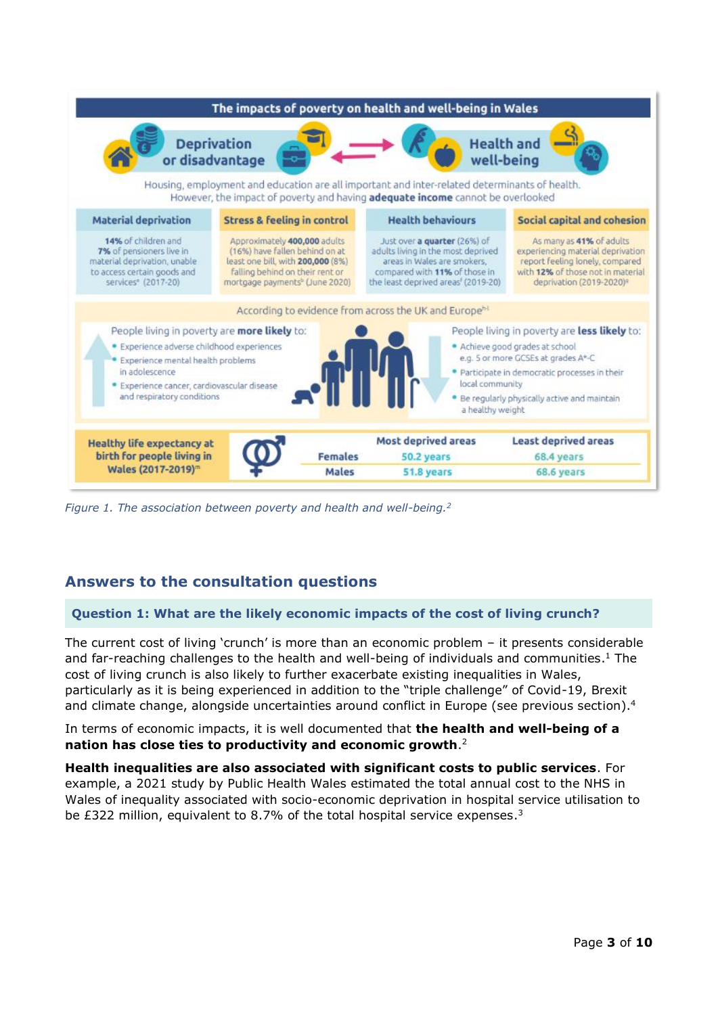

*Figure 1. The association between poverty and health and well-being.<sup>2</sup>*

# **Answers to the consultation questions**

#### **Question 1: What are the likely economic impacts of the cost of living crunch?**

The current cost of living 'crunch' is more than an economic problem – it presents considerable and far-reaching challenges to the health and well-being of individuals and communities.<sup>[1](#page-0-1)</sup> The cost of living crunch is also likely to further exacerbate existing inequalities in Wales, particularly as it is being experienced in addition to the "triple challenge" of Covid-19, Brexit and climate change, alongside uncertainties around conflict in Europe (see previous section). [4](#page-0-2)

In terms of economic impacts, it is well documented that **the health and well-being of a nation has close ties to productivity and economic growth**. [2](#page-0-3)

**Health inequalities are also associated with significant costs to public services**. For example, a 2021 study by Public Health Wales estimated the total annual cost to the NHS in Wales of inequality associated with socio-economic deprivation in hospital service utilisation to be £322 million, equivalent to 8.7% of the total hospital service expenses.<sup>3</sup>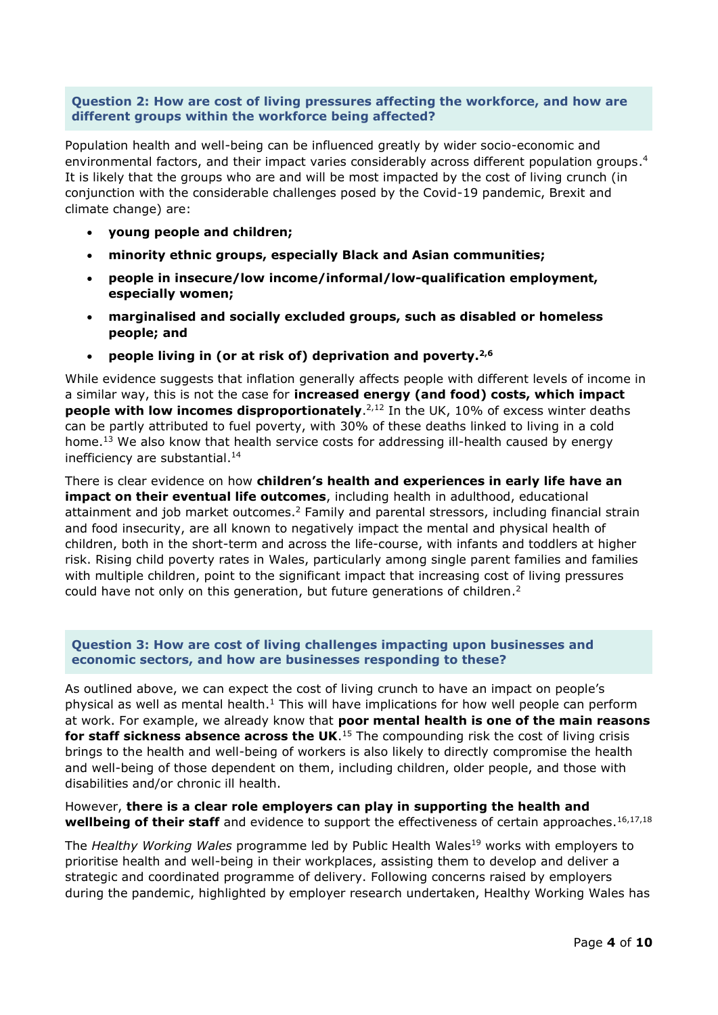#### **Question 2: How are cost of living pressures affecting the workforce, and how are different groups within the workforce being affected?**

Population health and well-being can be influenced greatly by wider socio-economic and environmental factors, and their impact varies considerably across different population groups. 4 It is likely that the groups who are and will be most impacted by the cost of living crunch (in conjunction with the considerable challenges posed by the Covid-19 pandemic, Brexit and climate change) are:

- **young people and children;**
- **minority ethnic groups, especially Black and Asian communities;**
- **people in insecure/low income/informal/low-qualification employment, especially women;**
- **marginalised and socially excluded groups, such as disabled or homeless people; and**
- <span id="page-3-0"></span>• **people living in (or at risk of) deprivation and poverty.2,6**

While evidence suggests that inflation generally affects people with different levels of income in a similar way, this is not the case for **increased energy (and food) costs, which impact people with low incomes disproportionately.**<sup>[2,](#page-0-3)12</sup> In the UK, 10% of excess winter deaths can be partly attributed to fuel poverty, with 30% of these deaths linked to living in a cold home.<sup>13</sup> We also know that health service costs for addressing ill-health caused by energy inefficiency are substantial. 14

There is clear evidence on how **children's health and experiences in early life have an impact on their eventual life outcomes**, including health in adulthood, educational attainment and job market outcomes.<sup>2</sup> Family and parental stressors, including financial strain and food insecurity, are all known to negatively impact the mental and physical health of children, both in the short-term and across the life-course, with infants and toddlers at higher risk. Rising child poverty rates in Wales, particularly among single parent families and families with multiple children, point to the significant impact that increasing cost of living pressures could have not only on this generation, but future generations of children.<sup>2</sup>

#### **Question 3: How are cost of living challenges impacting upon businesses and economic sectors, and how are businesses responding to these?**

As outlined above, we can expect the cost of living crunch to have an impact on people's physical as well as mental health[.](#page-0-1)<sup>1</sup> This will have implications for how well people can perform at work. For example, we already know that **poor mental health is one of the main reasons for staff sickness absence across the UK**.<sup>15</sup> The compounding risk the cost of living crisis brings to the health and well-being of workers is also likely to directly compromise the health and well-being of those dependent on them, including children, older people, and those with disabilities and/or chronic ill health.

However, **there is a clear role employers can play in supporting the health and**  wellbeing of their staff and evidence to support the effectiveness of certain approaches.<sup>16,17,18</sup>

The *Healthy Working Wales* programme led by Public Health Wales<sup>19</sup> works with employers to prioritise health and well-being in their workplaces, assisting them to develop and deliver a strategic and coordinated programme of delivery. Following concerns raised by employers during the pandemic, highlighted by employer research undertaken, Healthy Working Wales has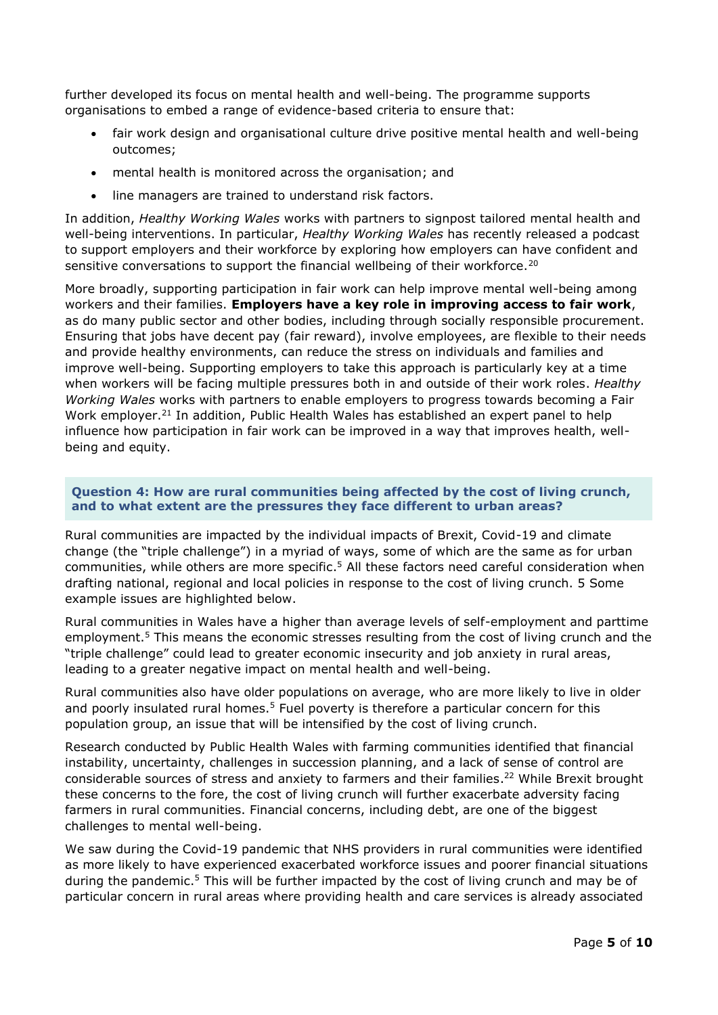further developed its focus on mental health and well-being. The programme supports organisations to embed a range of evidence-based criteria to ensure that:

- fair work design and organisational culture drive positive mental health and well-being outcomes;
- mental health is monitored across the organisation; and
- line managers are trained to understand risk factors.

In addition, *Healthy Working Wales* works with partners to signpost tailored mental health and well-being interventions. In particular, *Healthy Working Wales* has recently released a podcast to support employers and their workforce by exploring how employers can have confident and sensitive conversations to support the financial wellbeing of their workforce.<sup>20</sup>

More broadly, supporting participation in fair work can help improve mental well-being among workers and their families. **Employers have a key role in improving access to fair work**, as do many public sector and other bodies, including through socially responsible procurement. Ensuring that jobs have decent pay (fair reward), involve employees, are flexible to their needs and provide healthy environments, can reduce the stress on individuals and families and improve well-being. Supporting employers to take this approach is particularly key at a time when workers will be facing multiple pressures both in and outside of their work roles. *Healthy Working Wales* works with partners to enable employers to progress towards becoming a Fair Work employer.<sup>21</sup> In addition, Public Health Wales has established an expert panel to help influence how participation in fair work can be improved in a way that improves health, wellbeing and equity.

#### **Question 4: How are rural communities being affected by the cost of living crunch, and to what extent are the pressures they face different to urban areas?**

Rural communities are impacted by the individual impacts of Brexit, Covid-19 and climate change (the "triple challenge") in a myriad of ways, some of which are the same as for urban communities, while others are more specific. <sup>5</sup> All these factors need careful consideration when drafting national, regional and local policies in response to the cost of living crunch. 5 Some example issues are highlighted below.

Rural communities in Wales have a higher than average levels of self-employment and parttime employment.<sup>[5](#page-0-4)</sup> This means the economic stresses resulting from the cost of living crunch and the "triple challenge" could lead to greater economic insecurity and job anxiety in rural areas, leading to a greater negative impact on mental health and well-being.

Rural communities also have older populations on average, who are more likely to live in older and poorly insulated rural homes.<sup>[5](#page-0-4)</sup> Fuel poverty is therefore a particular concern for this population group, an issue that will be intensified by the cost of living crunch.

Research conducted by Public Health Wales with farming communities identified that financial instability, uncertainty, challenges in succession planning, and a lack of sense of control are considerable sources of stress and anxiety to farmers and their families.<sup>22</sup> While Brexit brought these concerns to the fore, the cost of living crunch will further exacerbate adversity facing farmers in rural communities. Financial concerns, including debt, are one of the biggest challenges to mental well-being.

We saw during the Covid-19 pandemic that NHS providers in rural communities were identified as more likely to have experienced exacerbated workforce issues and poorer financial situations during the pandemic.<sup>[5](#page-0-4)</sup> This will be further impacted by the cost of living crunch and may be of particular concern in rural areas where providing health and care services is already associated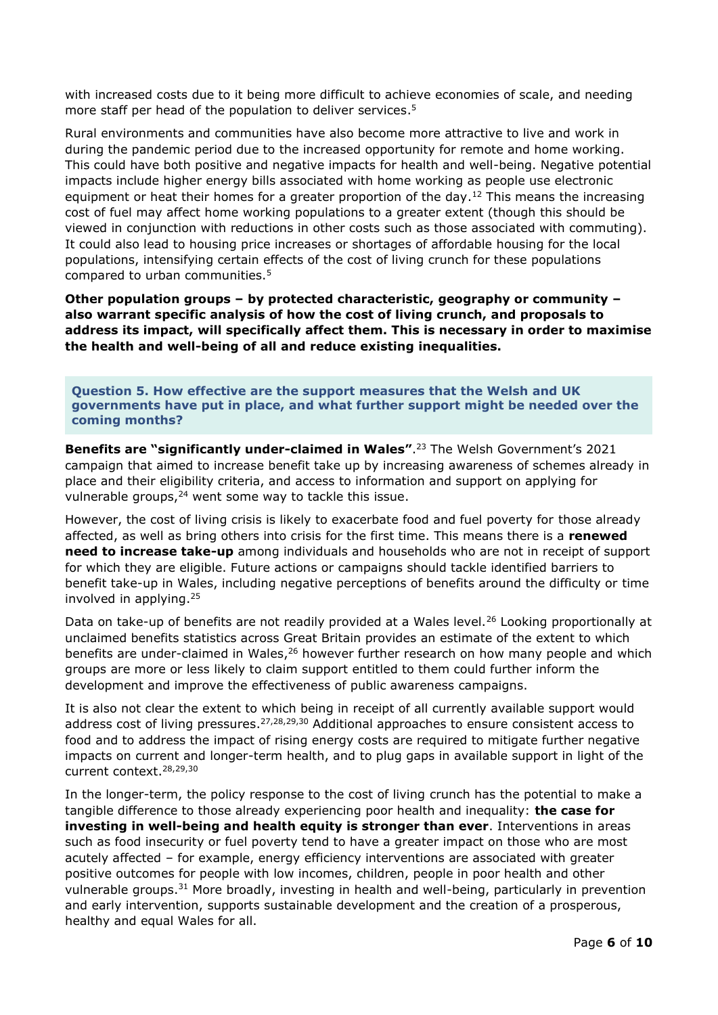with increased costs due to it being more difficult to achieve economies of scale, and needing more staff per head of the population to deliver services. [5](#page-0-4)

Rural environments and communities have also become more attractive to live and work in during the pandemic period due to the increased opportunity for remote and home working. This could have both positive and negative impacts for health and well-being. Negative potential impacts include higher energy bills associated with home working as people use electronic equipment or heat their homes for a greater proportion of the day.<sup>[12](#page-3-0)</sup> This means the increasing cost of fuel may affect home working populations to a greater extent (though this should be viewed in conjunction with reductions in other costs such as those associated with commuting). It could also lead to housing price increases or shortages of affordable housing for the local populations, intensifying certain effects of the cost of living crunch for these populations compared to urban communities.<sup>[5](#page-0-4)</sup>

**Other population groups – by protected characteristic, geography or community – also warrant specific analysis of how the cost of living crunch, and proposals to address its impact, will specifically affect them. This is necessary in order to maximise the health and well-being of all and reduce existing inequalities.**

**Question 5. How effective are the support measures that the Welsh and UK governments have put in place, and what further support might be needed over the coming months?**

**Benefits are "significantly under-claimed in Wales"**. <sup>23</sup> The Welsh Government's 2021 campaign that aimed to increase benefit take up by increasing awareness of schemes already in place and their eligibility criteria, and access to information and support on applying for vulnerable groups,<sup>24</sup> went some way to tackle this issue.

However, the cost of living crisis is likely to exacerbate food and fuel poverty for those already affected, as well as bring others into crisis for the first time. This means there is a **renewed need to increase take-up** among individuals and households who are not in receipt of support for which they are eligible. Future actions or campaigns should tackle identified barriers to benefit take-up in Wales, including negative perceptions of benefits around the difficulty or time involved in applying.<sup>25</sup>

<span id="page-5-0"></span>Data on take-up of benefits are not readily provided at a Wales level.<sup>26</sup> Looking proportionally at unclaimed benefits statistics across Great Britain provides an estimate of the extent to which benefits are under-claimed in Wales,<sup>[26](#page-5-0)</sup> however further research on how many people and which groups are more or less likely to claim support entitled to them could further inform the development and improve the effectiveness of public awareness campaigns.

<span id="page-5-3"></span><span id="page-5-2"></span><span id="page-5-1"></span>It is also not clear the extent to which being in receipt of all currently available support would address cost of living pressures.<sup>27,28,29,30</sup> Additional approaches to ensure consistent access to food and to address the impact of rising energy costs are required to mitigate further negative impacts on current and longer-term health, and to plug gaps in available support in light of the current context.[28](#page-5-1)[,29,](#page-5-2)[30](#page-5-3)

In the longer-term, the policy response to the cost of living crunch has the potential to make a tangible difference to those already experiencing poor health and inequality: **the case for investing in well-being and health equity is stronger than ever**. Interventions in areas such as food insecurity or fuel poverty tend to have a greater impact on those who are most acutely affected – for example, energy efficiency interventions are associated with greater positive outcomes for people with low incomes, children, people in poor health and other vulnerable groups.<sup>31</sup> More broadly, investing in health and well-being, particularly in prevention and early intervention, supports sustainable development and the creation of a prosperous, healthy and equal Wales for all.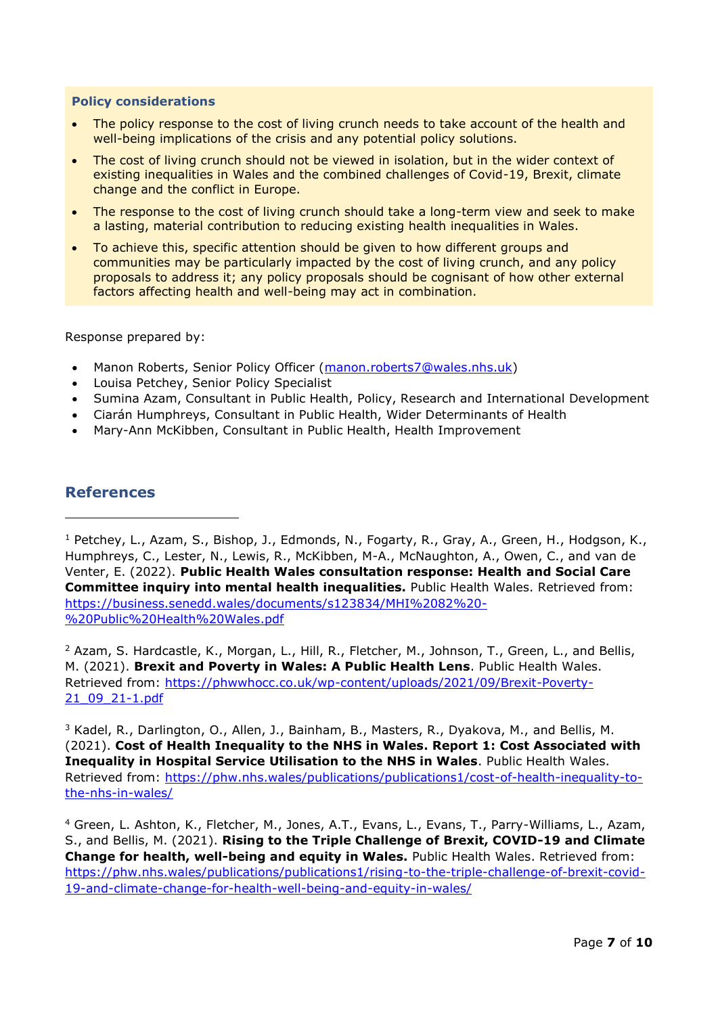#### **Policy considerations**

- The policy response to the cost of living crunch needs to take account of the health and well-being implications of the crisis and any potential policy solutions.
- The cost of living crunch should not be viewed in isolation, but in the wider context of existing inequalities in Wales and the combined challenges of Covid-19, Brexit, climate change and the conflict in Europe.
- The response to the cost of living crunch should take a long-term view and seek to make a lasting, material contribution to reducing existing health inequalities in Wales.
- To achieve this, specific attention should be given to how different groups and communities may be particularly impacted by the cost of living crunch, and any policy proposals to address it; any policy proposals should be cognisant of how other external factors affecting health and well-being may act in combination.

Response prepared by:

- Manon Roberts, Senior Policy Officer [\(manon.roberts7@wales.nhs.uk\)](mailto:manon.roberts7@wales.nhs.uk)
- Louisa Petchey, Senior Policy Specialist
- Sumina Azam, Consultant in Public Health, Policy, Research and International Development
- Ciarán Humphreys, Consultant in Public Health, Wider Determinants of Health
- Mary-Ann McKibben, Consultant in Public Health, Health Improvement

#### <span id="page-6-0"></span>**References**

<sup>1</sup> Petchey, L., Azam, S., Bishop, J., Edmonds, N., Fogarty, R., Gray, A., Green, H., Hodgson, K., Humphreys, C., Lester, N., Lewis, R., McKibben, M-A., McNaughton, A., Owen, C., and van de Venter, E. (2022). **Public Health Wales consultation response: Health and Social Care Committee inquiry into mental health inequalities.** Public Health Wales. Retrieved from: [https://business.senedd.wales/documents/s123834/MHI%2082%20-](https://business.senedd.wales/documents/s123834/MHI%2082%20-%20Public%20Health%20Wales.pdf) [%20Public%20Health%20Wales.pdf](https://business.senedd.wales/documents/s123834/MHI%2082%20-%20Public%20Health%20Wales.pdf)

<sup>2</sup> Azam, S. Hardcastle, K., Morgan, L., Hill, R., Fletcher, M., Johnson, T., Green, L., and Bellis, M. (2021). **Brexit and Poverty in Wales: A Public Health Lens**. Public Health Wales. Retrieved from: [https://phwwhocc.co.uk/wp-content/uploads/2021/09/Brexit-Poverty-](https://phwwhocc.co.uk/wp-content/uploads/2021/09/Brexit-Poverty-21_09_21-1.pdf)[21\\_09\\_21-1.pdf](https://phwwhocc.co.uk/wp-content/uploads/2021/09/Brexit-Poverty-21_09_21-1.pdf)

 $3$  Kadel, R., Darlington, O., Allen, J., Bainham, B., Masters, R., Dyakova, M., and Bellis, M. (2021). **Cost of Health Inequality to the NHS in Wales. Report 1: Cost Associated with Inequality in Hospital Service Utilisation to the NHS in Wales**. Public Health Wales. Retrieved from: [https://phw.nhs.wales/publications/publications1/cost-of-health-inequality-to](https://phw.nhs.wales/publications/publications1/cost-of-health-inequality-to-the-nhs-in-wales/)[the-nhs-in-wales/](https://phw.nhs.wales/publications/publications1/cost-of-health-inequality-to-the-nhs-in-wales/)

<sup>4</sup> Green, L. Ashton, K., Fletcher, M., Jones, A.T., Evans, L., Evans, T., Parry-Williams, L., Azam, S., and Bellis, M. (2021). **Rising to the Triple Challenge of Brexit, COVID-19 and Climate Change for health, well-being and equity in Wales.** Public Health Wales. Retrieved from: [https://phw.nhs.wales/publications/publications1/rising-to-the-triple-challenge-of-brexit-covid-](https://phw.nhs.wales/publications/publications1/rising-to-the-triple-challenge-of-brexit-covid-19-and-climate-change-for-health-well-being-and-equity-in-wales/)[19-and-climate-change-for-health-well-being-and-equity-in-wales/](https://phw.nhs.wales/publications/publications1/rising-to-the-triple-challenge-of-brexit-covid-19-and-climate-change-for-health-well-being-and-equity-in-wales/)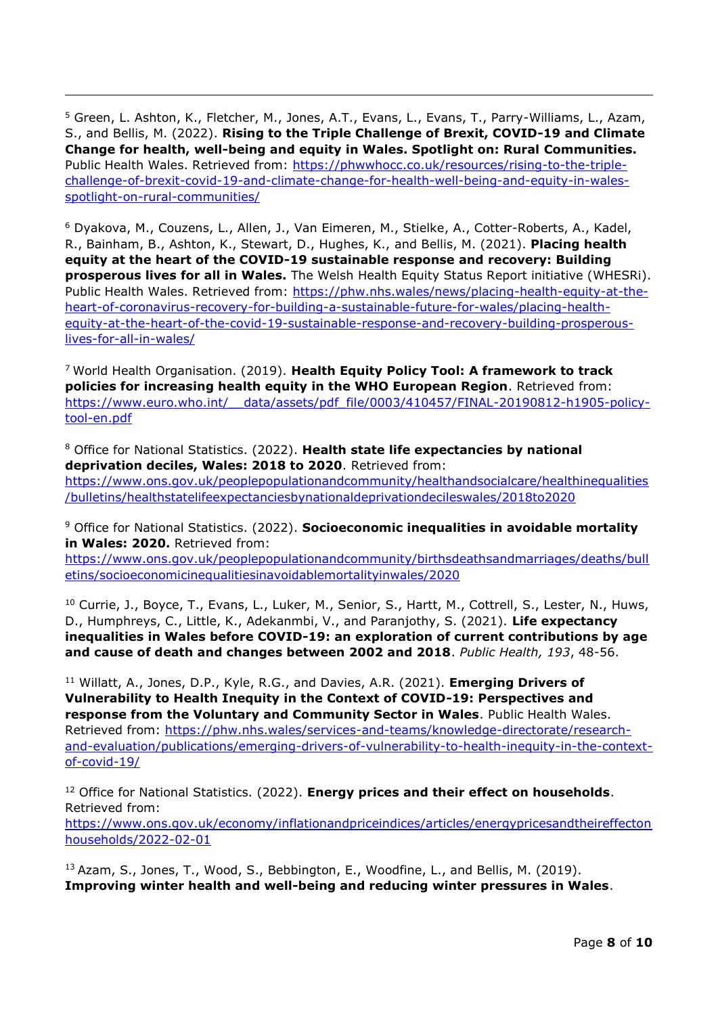<sup>5</sup> Green, L. Ashton, K., Fletcher, M., Jones, A.T., Evans, L., Evans, T., Parry-Williams, L., Azam, S., and Bellis, M. (2022). **Rising to the Triple Challenge of Brexit, COVID-19 and Climate Change for health, well-being and equity in Wales. Spotlight on: Rural Communities.** Public Health Wales. Retrieved from: [https://phwwhocc.co.uk/resources/rising-to-the-triple](https://phwwhocc.co.uk/resources/rising-to-the-triple-challenge-of-brexit-covid-19-and-climate-change-for-health-well-being-and-equity-in-wales-spotlight-on-rural-communities/)[challenge-of-brexit-covid-19-and-climate-change-for-health-well-being-and-equity-in-wales](https://phwwhocc.co.uk/resources/rising-to-the-triple-challenge-of-brexit-covid-19-and-climate-change-for-health-well-being-and-equity-in-wales-spotlight-on-rural-communities/)[spotlight-on-rural-communities/](https://phwwhocc.co.uk/resources/rising-to-the-triple-challenge-of-brexit-covid-19-and-climate-change-for-health-well-being-and-equity-in-wales-spotlight-on-rural-communities/)

<sup>6</sup> Dyakova, M., Couzens, L., Allen, J., Van Eimeren, M., Stielke, A., Cotter-Roberts, A., Kadel, R., Bainham, B., Ashton, K., Stewart, D., Hughes, K., and Bellis, M. (2021). **Placing health equity at the heart of the COVID-19 sustainable response and recovery: Building prosperous lives for all in Wales.** The Welsh Health Equity Status Report initiative (WHESRi). Public Health Wales. Retrieved from: [https://phw.nhs.wales/news/placing-health-equity-at-the](https://phw.nhs.wales/news/placing-health-equity-at-the-heart-of-coronavirus-recovery-for-building-a-sustainable-future-for-wales/placing-health-equity-at-the-heart-of-the-covid-19-sustainable-response-and-recovery-building-prosperous-lives-for-all-in-wales/)[heart-of-coronavirus-recovery-for-building-a-sustainable-future-for-wales/placing-health](https://phw.nhs.wales/news/placing-health-equity-at-the-heart-of-coronavirus-recovery-for-building-a-sustainable-future-for-wales/placing-health-equity-at-the-heart-of-the-covid-19-sustainable-response-and-recovery-building-prosperous-lives-for-all-in-wales/)[equity-at-the-heart-of-the-covid-19-sustainable-response-and-recovery-building-prosperous](https://phw.nhs.wales/news/placing-health-equity-at-the-heart-of-coronavirus-recovery-for-building-a-sustainable-future-for-wales/placing-health-equity-at-the-heart-of-the-covid-19-sustainable-response-and-recovery-building-prosperous-lives-for-all-in-wales/)[lives-for-all-in-wales/](https://phw.nhs.wales/news/placing-health-equity-at-the-heart-of-coronavirus-recovery-for-building-a-sustainable-future-for-wales/placing-health-equity-at-the-heart-of-the-covid-19-sustainable-response-and-recovery-building-prosperous-lives-for-all-in-wales/)

<sup>7</sup> World Health Organisation. (2019). **Health Equity Policy Tool: A framework to track policies for increasing health equity in the WHO European Region**. Retrieved from: [https://www.euro.who.int/\\_\\_data/assets/pdf\\_file/0003/410457/FINAL-20190812-h1905-policy](https://www.euro.who.int/__data/assets/pdf_file/0003/410457/FINAL-20190812-h1905-policy-tool-en.pdf)[tool-en.pdf](https://www.euro.who.int/__data/assets/pdf_file/0003/410457/FINAL-20190812-h1905-policy-tool-en.pdf) 

<sup>8</sup> Office for National Statistics. (2022). **Health state life expectancies by national deprivation deciles, Wales: 2018 to 2020**. Retrieved from: [https://www.ons.gov.uk/peoplepopulationandcommunity/healthandsocialcare/healthinequalities](https://www.ons.gov.uk/peoplepopulationandcommunity/healthandsocialcare/healthinequalities/bulletins/healthstatelifeexpectanciesbynationaldeprivationdecileswales/2018to2020) [/bulletins/healthstatelifeexpectanciesbynationaldeprivationdecileswales/2018to2020](https://www.ons.gov.uk/peoplepopulationandcommunity/healthandsocialcare/healthinequalities/bulletins/healthstatelifeexpectanciesbynationaldeprivationdecileswales/2018to2020)

<sup>9</sup> Office for National Statistics. (2022). **Socioeconomic inequalities in avoidable mortality in Wales: 2020.** Retrieved from:

[https://www.ons.gov.uk/peoplepopulationandcommunity/birthsdeathsandmarriages/deaths/bull](https://www.ons.gov.uk/peoplepopulationandcommunity/birthsdeathsandmarriages/deaths/bulletins/socioeconomicinequalitiesinavoidablemortalityinwales/2020) [etins/socioeconomicinequalitiesinavoidablemortalityinwales/2020](https://www.ons.gov.uk/peoplepopulationandcommunity/birthsdeathsandmarriages/deaths/bulletins/socioeconomicinequalitiesinavoidablemortalityinwales/2020)

<sup>10</sup> Currie, J., Boyce, T., Evans, L., Luker, M., Senior, S., Hartt, M., Cottrell, S., Lester, N., Huws, D., Humphreys, C., Little, K., Adekanmbi, V., and Paranjothy, S. (2021). **Life expectancy inequalities in Wales before COVID-19: an exploration of current contributions by age and cause of death and changes between 2002 and 2018**. *Public Health, 193*, 48-56.

<sup>11</sup> Willatt, A., Jones, D.P., Kyle, R.G., and Davies, A.R. (2021). **Emerging Drivers of Vulnerability to Health Inequity in the Context of COVID-19: Perspectives and response from the Voluntary and Community Sector in Wales**. Public Health Wales. Retrieved from: [https://phw.nhs.wales/services-and-teams/knowledge-directorate/research](https://phw.nhs.wales/services-and-teams/knowledge-directorate/research-and-evaluation/publications/emerging-drivers-of-vulnerability-to-health-inequity-in-the-context-of-covid-19/)[and-evaluation/publications/emerging-drivers-of-vulnerability-to-health-inequity-in-the-context](https://phw.nhs.wales/services-and-teams/knowledge-directorate/research-and-evaluation/publications/emerging-drivers-of-vulnerability-to-health-inequity-in-the-context-of-covid-19/)[of-covid-19/](https://phw.nhs.wales/services-and-teams/knowledge-directorate/research-and-evaluation/publications/emerging-drivers-of-vulnerability-to-health-inequity-in-the-context-of-covid-19/)

<sup>12</sup> Office for National Statistics. (2022). **Energy prices and their effect on households**. Retrieved from: [https://www.ons.gov.uk/economy/inflationandpriceindices/articles/energypricesandtheireffecton](https://www.ons.gov.uk/economy/inflationandpriceindices/articles/energypricesandtheireffectonhouseholds/2022-02-01) [households/2022-02-01](https://www.ons.gov.uk/economy/inflationandpriceindices/articles/energypricesandtheireffectonhouseholds/2022-02-01)

<sup>13</sup> Azam, S., Jones, T., Wood, S., Bebbington, E., Woodfine, L., and Bellis, M. (2019). **Improving winter health and well-being and reducing winter pressures in Wales**.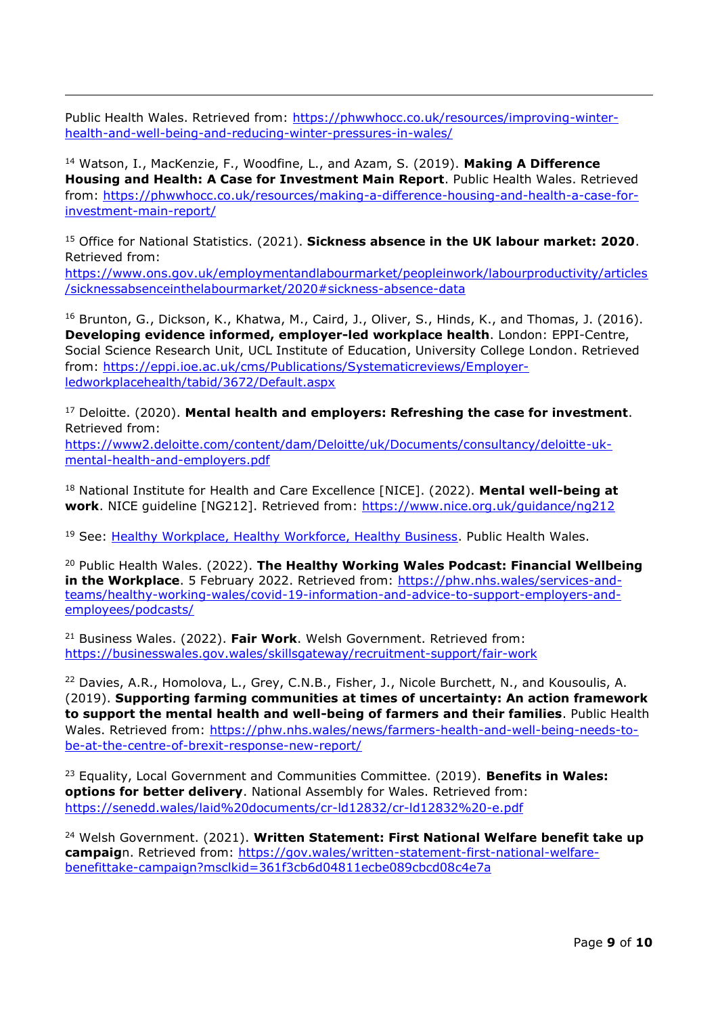Public Health Wales. Retrieved from: [https://phwwhocc.co.uk/resources/improving-winter](https://phwwhocc.co.uk/resources/improving-winter-health-and-well-being-and-reducing-winter-pressures-in-wales/)[health-and-well-being-and-reducing-winter-pressures-in-wales/](https://phwwhocc.co.uk/resources/improving-winter-health-and-well-being-and-reducing-winter-pressures-in-wales/)

<sup>14</sup> Watson, I., MacKenzie, F., Woodfine, L., and Azam, S. (2019). **Making A Difference Housing and Health: A Case for Investment Main Report**. Public Health Wales. Retrieved from: [https://phwwhocc.co.uk/resources/making-a-difference-housing-and-health-a-case-for](https://phwwhocc.co.uk/resources/making-a-difference-housing-and-health-a-case-for-investment-main-report/)[investment-main-report/](https://phwwhocc.co.uk/resources/making-a-difference-housing-and-health-a-case-for-investment-main-report/)

<sup>15</sup> Office for National Statistics. (2021). **Sickness absence in the UK labour market: 2020**. Retrieved from:

[https://www.ons.gov.uk/employmentandlabourmarket/peopleinwork/labourproductivity/articles](https://www.ons.gov.uk/employmentandlabourmarket/peopleinwork/labourproductivity/articles/sicknessabsenceinthelabourmarket/2020#sickness-absence-data) [/sicknessabsenceinthelabourmarket/2020#sickness-absence-data](https://www.ons.gov.uk/employmentandlabourmarket/peopleinwork/labourproductivity/articles/sicknessabsenceinthelabourmarket/2020#sickness-absence-data)

<sup>16</sup> Brunton, G., Dickson, K., Khatwa, M., Caird, J., Oliver, S., Hinds, K., and Thomas, J. (2016). **Developing evidence informed, employer-led workplace health**. London: EPPI-Centre, Social Science Research Unit, UCL Institute of Education, University College London. Retrieved from: [https://eppi.ioe.ac.uk/cms/Publications/Systematicreviews/Employer](https://eppi.ioe.ac.uk/cms/Publications/Systematicreviews/Employer-ledworkplacehealth/tabid/3672/Default.aspx)[ledworkplacehealth/tabid/3672/Default.aspx](https://eppi.ioe.ac.uk/cms/Publications/Systematicreviews/Employer-ledworkplacehealth/tabid/3672/Default.aspx)

<sup>17</sup> Deloitte. (2020). **Mental health and employers: Refreshing the case for investment**. Retrieved from: [https://www2.deloitte.com/content/dam/Deloitte/uk/Documents/consultancy/deloitte-uk](https://www2.deloitte.com/content/dam/Deloitte/uk/Documents/consultancy/deloitte-uk-mental-health-and-employers.pdf)[mental-health-and-employers.pdf](https://www2.deloitte.com/content/dam/Deloitte/uk/Documents/consultancy/deloitte-uk-mental-health-and-employers.pdf)

<sup>18</sup> National Institute for Health and Care Excellence [NICE]. (2022). **Mental well-being at work**. NICE guideline [NG212]. Retrieved from:<https://www.nice.org.uk/guidance/ng212>

<sup>19</sup> See: [Healthy Workplace, Healthy Workforce, Healthy Business.](https://phw.nhs.wales/services-and-teams/healthy-working-wales/#:~:text=The%20Healthy%20Working%20Wales%20(HWW,range%20of%20positive%20business%20and) Public Health Wales.

<sup>20</sup> Public Health Wales. (2022). **The Healthy Working Wales Podcast: Financial Wellbeing in the Workplace**. 5 February 2022. Retrieved from: [https://phw.nhs.wales/services-and](https://phw.nhs.wales/services-and-teams/healthy-working-wales/covid-19-information-and-advice-to-support-employers-and-employees/podcasts/)[teams/healthy-working-wales/covid-19-information-and-advice-to-support-employers-and](https://phw.nhs.wales/services-and-teams/healthy-working-wales/covid-19-information-and-advice-to-support-employers-and-employees/podcasts/)[employees/podcasts/](https://phw.nhs.wales/services-and-teams/healthy-working-wales/covid-19-information-and-advice-to-support-employers-and-employees/podcasts/)

<sup>21</sup> Business Wales. (2022). **Fair Work**. Welsh Government. Retrieved from: <https://businesswales.gov.wales/skillsgateway/recruitment-support/fair-work>

<sup>22</sup> Davies, A.R., Homolova, L., Grey, C.N.B., Fisher, J., Nicole Burchett, N., and Kousoulis, A. (2019). **Supporting farming communities at times of uncertainty: An action framework to support the mental health and well-being of farmers and their families**. Public Health Wales. Retrieved from: [https://phw.nhs.wales/news/farmers-health-and-well-being-needs-to](https://phw.nhs.wales/news/farmers-health-and-wellbeing-needs-to-be-at-the-centre-of-brexit-response-new-report/)[be-at-the-centre-of-brexit-response-new-report/](https://phw.nhs.wales/news/farmers-health-and-wellbeing-needs-to-be-at-the-centre-of-brexit-response-new-report/)

<sup>23</sup> Equality, Local Government and Communities Committee. (2019). **Benefits in Wales: options for better delivery**. National Assembly for Wales. Retrieved from: <https://senedd.wales/laid%20documents/cr-ld12832/cr-ld12832%20-e.pdf>

<sup>24</sup> Welsh Government. (2021). **Written Statement: First National Welfare benefit take up campaig**n. Retrieved from: [https://gov.wales/written-statement-first-national-welfare](https://gov.wales/written-statement-first-national-welfare-benefittake-campaign?msclkid=361f3cb6d04811ecbe089cbcd08c4e7a)[benefittake-campaign?msclkid=361f3cb6d04811ecbe089cbcd08c4e7a](https://gov.wales/written-statement-first-national-welfare-benefittake-campaign?msclkid=361f3cb6d04811ecbe089cbcd08c4e7a)